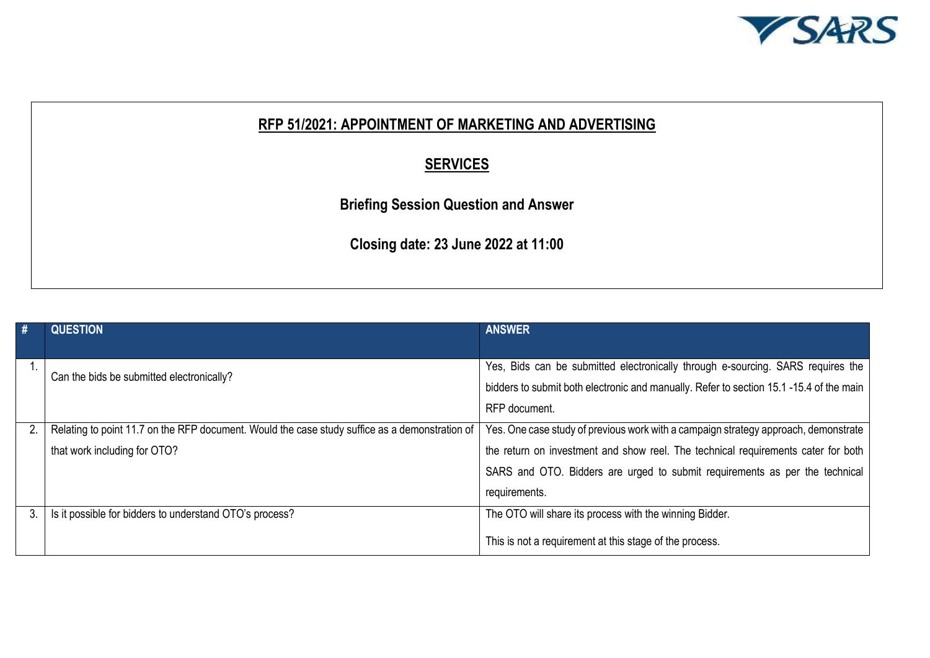

## **RFP 51/2021: APPOINTMENT OF MARKETING AND ADVERTISING**

## **SERVICES**

**Briefing Session Question and Answer**

**Closing date: 23 June 2022 at 11:00**

| #  | <b>QUESTION</b>                                                                                | <b>ANSWER</b>                                                                          |
|----|------------------------------------------------------------------------------------------------|----------------------------------------------------------------------------------------|
|    |                                                                                                |                                                                                        |
|    | Can the bids be submitted electronically?                                                      | Yes, Bids can be submitted electronically through e-sourcing. SARS requires the        |
|    |                                                                                                | bidders to submit both electronic and manually. Refer to section 15.1-15.4 of the main |
|    |                                                                                                | RFP document.                                                                          |
| 2. | Relating to point 11.7 on the RFP document. Would the case study suffice as a demonstration of | Yes. One case study of previous work with a campaign strategy approach, demonstrate    |
|    | that work including for OTO?                                                                   | the return on investment and show reel. The technical requirements cater for both      |
|    |                                                                                                | SARS and OTO. Bidders are urged to submit requirements as per the technical            |
|    |                                                                                                | requirements.                                                                          |
| 3. | Is it possible for bidders to understand OTO's process?                                        | The OTO will share its process with the winning Bidder.                                |
|    |                                                                                                | This is not a requirement at this stage of the process.                                |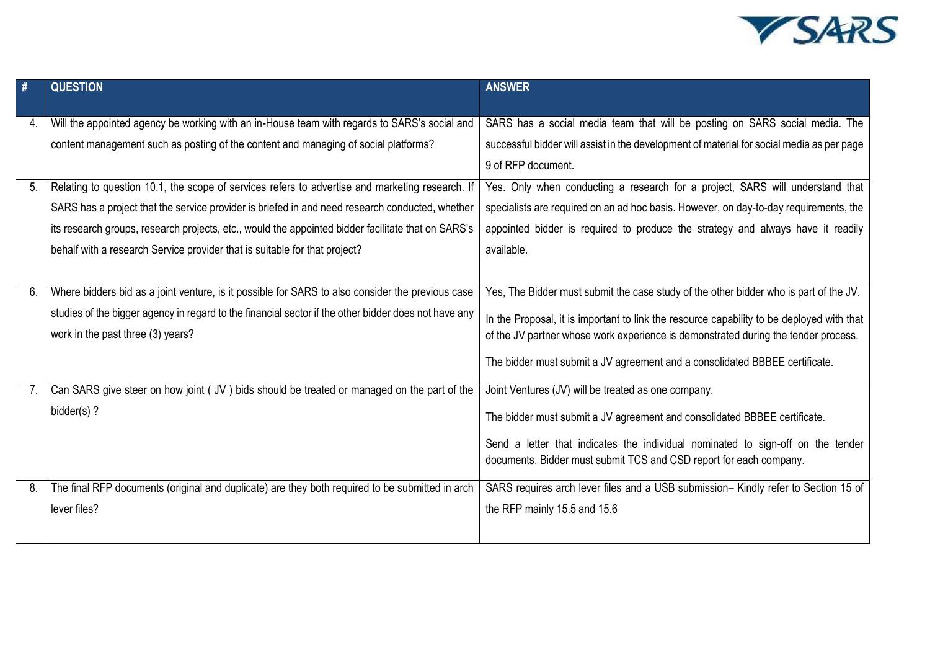

| #        | <b>QUESTION</b>                                                                                                                                                                                                                                                                                                                                                                                                                                                                                                                                                               | <b>ANSWER</b>                                                                                                                                                                                                                                                                                                                                                                                                                                                             |
|----------|-------------------------------------------------------------------------------------------------------------------------------------------------------------------------------------------------------------------------------------------------------------------------------------------------------------------------------------------------------------------------------------------------------------------------------------------------------------------------------------------------------------------------------------------------------------------------------|---------------------------------------------------------------------------------------------------------------------------------------------------------------------------------------------------------------------------------------------------------------------------------------------------------------------------------------------------------------------------------------------------------------------------------------------------------------------------|
| 4.<br>5. | Will the appointed agency be working with an in-House team with regards to SARS's social and<br>content management such as posting of the content and managing of social platforms?<br>Relating to question 10.1, the scope of services refers to advertise and marketing research. If<br>SARS has a project that the service provider is briefed in and need research conducted, whether<br>its research groups, research projects, etc., would the appointed bidder facilitate that on SARS's<br>behalf with a research Service provider that is suitable for that project? | SARS has a social media team that will be posting on SARS social media. The<br>successful bidder will assist in the development of material for social media as per page<br>9 of RFP document.<br>Yes. Only when conducting a research for a project, SARS will understand that<br>specialists are required on an ad hoc basis. However, on day-to-day requirements, the<br>appointed bidder is required to produce the strategy and always have it readily<br>available. |
| 6.       | Where bidders bid as a joint venture, is it possible for SARS to also consider the previous case<br>studies of the bigger agency in regard to the financial sector if the other bidder does not have any<br>work in the past three (3) years?                                                                                                                                                                                                                                                                                                                                 | Yes, The Bidder must submit the case study of the other bidder who is part of the JV.<br>In the Proposal, it is important to link the resource capability to be deployed with that<br>of the JV partner whose work experience is demonstrated during the tender process.<br>The bidder must submit a JV agreement and a consolidated BBBEE certificate.                                                                                                                   |
| 7.       | Can SARS give steer on how joint (JV) bids should be treated or managed on the part of the<br>bidder(s)?                                                                                                                                                                                                                                                                                                                                                                                                                                                                      | Joint Ventures (JV) will be treated as one company.<br>The bidder must submit a JV agreement and consolidated BBBEE certificate.<br>Send a letter that indicates the individual nominated to sign-off on the tender<br>documents. Bidder must submit TCS and CSD report for each company.                                                                                                                                                                                 |
| 8.       | The final RFP documents (original and duplicate) are they both required to be submitted in arch<br>lever files?                                                                                                                                                                                                                                                                                                                                                                                                                                                               | SARS requires arch lever files and a USB submission- Kindly refer to Section 15 of<br>the RFP mainly 15.5 and 15.6                                                                                                                                                                                                                                                                                                                                                        |